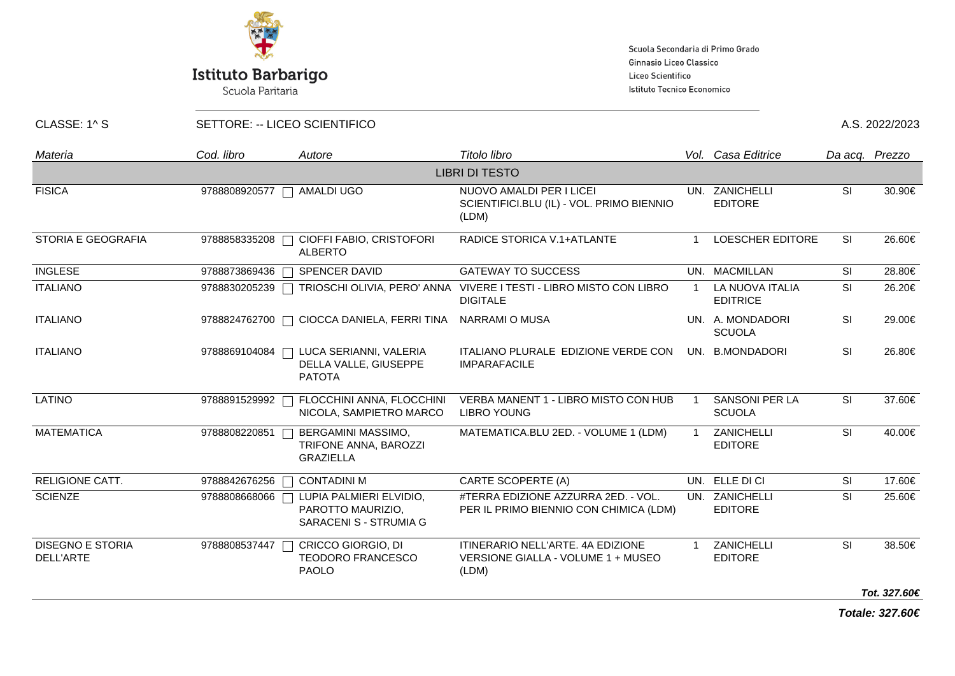

Scuola Paritaria

Scuola Secondaria di Primo Grado Ginnasio Liceo Classico Liceo Scientifico Istituto Tecnico Economico

CLASSE: 1^ S SETTORE: -- LICEO SCIENTIFICO **A.S. 2022/2023** 

| Materia                              | Cod. libro    | Autore                                                                 | Titolo libro                                                                     |                | Vol. Casa Editrice                     |           | Da acq. Prezzo |  |  |
|--------------------------------------|---------------|------------------------------------------------------------------------|----------------------------------------------------------------------------------|----------------|----------------------------------------|-----------|----------------|--|--|
| <b>LIBRI DI TESTO</b>                |               |                                                                        |                                                                                  |                |                                        |           |                |  |  |
| <b>FISICA</b>                        | 9788808920577 | AMALDI UGO<br>$\Box$                                                   | NUOVO AMALDI PER I LICEI<br>SCIENTIFICI.BLU (IL) - VOL. PRIMO BIENNIO<br>(LDM)   |                | UN. ZANICHELLI<br><b>EDITORE</b>       | <b>SI</b> | 30.90€         |  |  |
| <b>STORIA E GEOGRAFIA</b>            | 9788858335208 | CIOFFI FABIO, CRISTOFORI<br>$\Box$<br><b>ALBERTO</b>                   | RADICE STORICA V.1+ATLANTE                                                       |                | <b>LOESCHER EDITORE</b>                | <b>SI</b> | 26.60€         |  |  |
| <b>INGLESE</b>                       | 9788873869436 | <b>SPENCER DAVID</b>                                                   | <b>GATEWAY TO SUCCESS</b>                                                        |                | UN. MACMILLAN                          | <b>SI</b> | 28.80€         |  |  |
| <b>ITALIANO</b>                      | 9788830205239 | TRIOSCHI OLIVIA, PERO' ANNA<br>П                                       | VIVERE I TESTI - LIBRO MISTO CON LIBRO<br><b>DIGITALE</b>                        | $\overline{1}$ | LA NUOVA ITALIA<br><b>EDITRICE</b>     | SI        | 26.20€         |  |  |
| <b>ITALIANO</b>                      | 9788824762700 | CIOCCA DANIELA, FERRI TINA                                             | NARRAMI O MUSA                                                                   |                | UN. A. MONDADORI<br><b>SCUOLA</b>      | SI        | 29.00€         |  |  |
| <b>ITALIANO</b>                      | 9788869104084 | LUCA SERIANNI, VALERIA<br>DELLA VALLE, GIUSEPPE<br><b>PATOTA</b>       | ITALIANO PLURALE EDIZIONE VERDE CON<br><b>IMPARAFACILE</b>                       |                | UN. B.MONDADORI                        | SI        | 26.80€         |  |  |
| <b>LATINO</b>                        | 9788891529992 | FLOCCHINI ANNA, FLOCCHINI<br>NICOLA, SAMPIETRO MARCO                   | VERBA MANENT 1 - LIBRO MISTO CON HUB<br><b>LIBRO YOUNG</b>                       | -1             | <b>SANSONI PER LA</b><br><b>SCUOLA</b> | SI        | 37.60€         |  |  |
| <b>MATEMATICA</b>                    | 9788808220851 | BERGAMINI MASSIMO,<br>TRIFONE ANNA, BAROZZI<br><b>GRAZIELLA</b>        | MATEMATICA.BLU 2ED. - VOLUME 1 (LDM)                                             | $\overline{1}$ | ZANICHELLI<br><b>EDITORE</b>           | SI        | 40.00€         |  |  |
| RELIGIONE CATT.                      | 9788842676256 | <b>CONTADINI M</b>                                                     | CARTE SCOPERTE (A)                                                               |                | UN. ELLE DI CI                         | SI        | 17.60€         |  |  |
| <b>SCIENZE</b>                       | 9788808668066 | LUPIA PALMIERI ELVIDIO,<br>PAROTTO MAURIZIO,<br>SARACENI S - STRUMIA G | #TERRA EDIZIONE AZZURRA 2ED. - VOL.<br>PER IL PRIMO BIENNIO CON CHIMICA (LDM)    |                | UN. ZANICHELLI<br><b>EDITORE</b>       | <b>SI</b> | 25.60€         |  |  |
| <b>DISEGNO E STORIA</b><br>DELL'ARTE | 9788808537447 | CRICCO GIORGIO, DI<br><b>TEODORO FRANCESCO</b><br><b>PAOLO</b>         | ITINERARIO NELL'ARTE. 4A EDIZIONE<br>VERSIONE GIALLA - VOLUME 1 + MUSEO<br>(LDM) |                | ZANICHELLI<br><b>EDITORE</b>           | SI        | 38.50€         |  |  |
|                                      |               |                                                                        |                                                                                  |                |                                        |           | Tot. 327.60€   |  |  |

**Totale: 327.60€**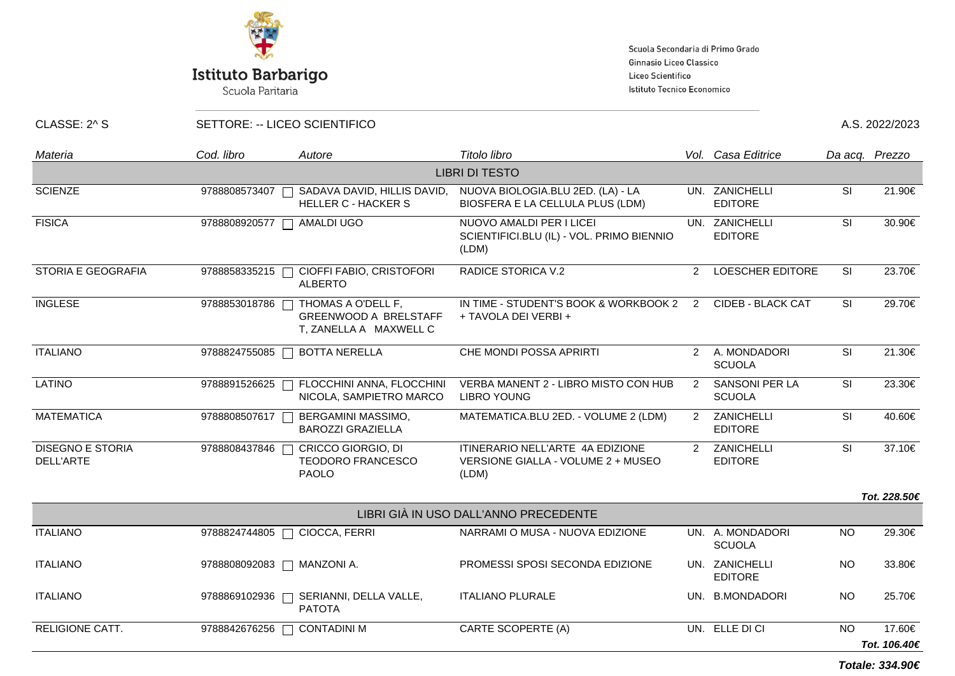

Scuola Paritaria

Scuola Secondaria di Primo Grado Ginnasio Liceo Classico Liceo Scientifico Istituto Tecnico Economico

CLASSE: 2^ S SETTORE: -- LICEO SCIENTIFICO A.S. 2022/2023

| Materia                              | Cod. libro    | Autore                                                                       | Titolo libro                                                                    |               | Vol. Casa Editrice                |           | Da acq. Prezzo |
|--------------------------------------|---------------|------------------------------------------------------------------------------|---------------------------------------------------------------------------------|---------------|-----------------------------------|-----------|----------------|
|                                      |               |                                                                              | <b>LIBRI DI TESTO</b>                                                           |               |                                   |           |                |
| <b>SCIENZE</b>                       | 9788808573407 | SADAVA DAVID, HILLIS DAVID,<br><b>HELLER C - HACKER S</b>                    | NUOVA BIOLOGIA.BLU 2ED. (LA) - LA<br>BIOSFERA E LA CELLULA PLUS (LDM)           |               | UN. ZANICHELLI<br><b>EDITORE</b>  | <b>SI</b> | 21.90€         |
| <b>FISICA</b>                        | 9788808920577 | AMALDI UGO                                                                   | NUOVO AMALDI PER I LICEI<br>SCIENTIFICI.BLU (IL) - VOL. PRIMO BIENNIO<br>(LDM)  |               | UN. ZANICHELLI<br><b>EDITORE</b>  | <b>SI</b> | 30.90€         |
| <b>STORIA E GEOGRAFIA</b>            | 9788858335215 | CIOFFI FABIO, CRISTOFORI<br><b>ALBERTO</b>                                   | <b>RADICE STORICA V.2</b>                                                       | $\mathcal{P}$ | <b>LOESCHER EDITORE</b>           | SI        | 23.70€         |
| <b>INGLESE</b>                       | 9788853018786 | THOMAS A O'DELL F,<br><b>GREENWOOD A BRELSTAFF</b><br>T, ZANELLA A MAXWELL C | IN TIME - STUDENT'S BOOK & WORKBOOK 2<br>+ TAVOLA DEI VERBI +                   | 2             | <b>CIDEB - BLACK CAT</b>          | <b>SI</b> | 29.70€         |
| <b>ITALIANO</b>                      | 9788824755085 | <b>BOTTA NERELLA</b>                                                         | CHE MONDI POSSA APRIRTI                                                         |               | 2 A. MONDADORI<br><b>SCUOLA</b>   | SI        | 21.30€         |
| <b>LATINO</b>                        | 9788891526625 | FLOCCHINI ANNA, FLOCCHINI<br>NICOLA, SAMPIETRO MARCO                         | VERBA MANENT 2 - LIBRO MISTO CON HUB<br><b>LIBRO YOUNG</b>                      | $\mathcal{P}$ | SANSONI PER LA<br><b>SCUOLA</b>   | SI        | 23.30€         |
| <b>MATEMATICA</b>                    | 9788808507617 | BERGAMINI MASSIMO,<br><b>BAROZZI GRAZIELLA</b>                               | MATEMATICA.BLU 2ED. - VOLUME 2 (LDM)                                            | $\mathcal{P}$ | ZANICHELLI<br><b>EDITORE</b>      | SI        | 40.60€         |
| <b>DISEGNO E STORIA</b><br>DELL'ARTE | 9788808437846 | CRICCO GIORGIO, DI<br><b>TEODORO FRANCESCO</b><br><b>PAOLO</b>               | ITINERARIO NELL'ARTE 4A EDIZIONE<br>VERSIONE GIALLA - VOLUME 2 + MUSEO<br>(LDM) | $\mathcal{P}$ | ZANICHELLI<br><b>EDITORE</b>      | SI        | 37.10€         |
|                                      |               |                                                                              |                                                                                 |               |                                   |           | Tot. 228.50€   |
|                                      |               |                                                                              | LIBRI GIÀ IN USO DALL'ANNO PRECEDENTE                                           |               |                                   |           |                |
| <b>ITALIANO</b>                      | 9788824744805 | CIOCCA, FERRI                                                                | NARRAMI O MUSA - NUOVA EDIZIONE                                                 |               | UN. A. MONDADORI<br><b>SCUOLA</b> | <b>NO</b> | 29.30€         |
| <b>ITALIANO</b>                      |               | 9788808092083   MANZONI A.                                                   | PROMESSI SPOSI SECONDA EDIZIONE                                                 |               | UN. ZANICHELLI<br><b>EDITORE</b>  | <b>NO</b> | 33.80€         |
| <b>ITALIANO</b>                      | 9788869102936 | SERIANNI, DELLA VALLE,<br><b>PATOTA</b>                                      | <b>ITALIANO PLURALE</b>                                                         |               | UN. B.MONDADORI                   | <b>NO</b> | 25.70€         |
| <b>RELIGIONE CATT.</b>               | 9788842676256 | <b>CONTADINI M</b><br>П                                                      | CARTE SCOPERTE (A)                                                              |               | UN. ELLE DI CI                    | <b>NO</b> | 17.60€         |
|                                      |               |                                                                              |                                                                                 |               |                                   |           | Tot. 106.40€   |

**Totale: 334.90€**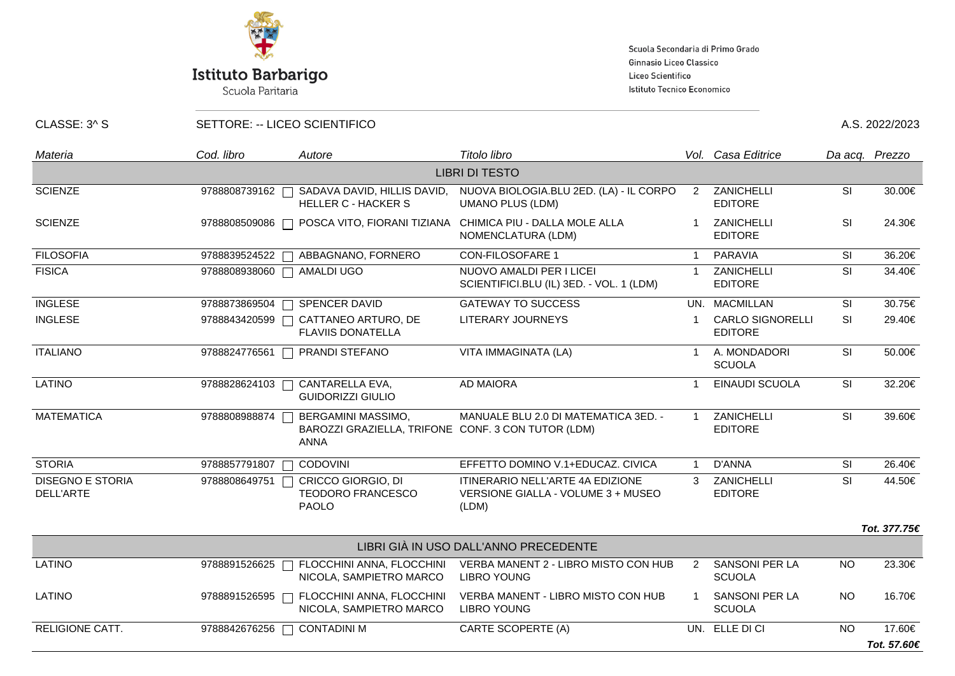

Scuola Paritaria

Scuola Secondaria di Primo Grado Ginnasio Liceo Classico Liceo Scientifico Istituto Tecnico Economico

CLASSE: 3^ S SETTORE: -- LICEO SCIENTIFICO A.S. 2022/2023

| Materia                              | Cod. libro              | Autore                                                                                  | Titolo libro                                                                    |                | Vol. Casa Editrice                        |           | Da acq. Prezzo |
|--------------------------------------|-------------------------|-----------------------------------------------------------------------------------------|---------------------------------------------------------------------------------|----------------|-------------------------------------------|-----------|----------------|
|                                      |                         |                                                                                         | <b>LIBRI DI TESTO</b>                                                           |                |                                           |           |                |
| <b>SCIENZE</b>                       | 9788808739162           | SADAVA DAVID, HILLIS DAVID,<br><b>HELLER C - HACKER S</b>                               | NUOVA BIOLOGIA.BLU 2ED. (LA) - IL CORPO<br><b>UMANO PLUS (LDM)</b>              | 2              | ZANICHELLI<br><b>EDITORE</b>              | <b>SI</b> | 30.00€         |
| <b>SCIENZE</b>                       | 9788808509086           | POSCA VITO, FIORANI TIZIANA                                                             | CHIMICA PIU - DALLA MOLE ALLA<br>NOMENCLATURA (LDM)                             |                | ZANICHELLI<br><b>EDITORE</b>              | <b>SI</b> | 24.30€         |
| <b>FILOSOFIA</b>                     | 9788839524522<br>$\Box$ | ABBAGNANO, FORNERO                                                                      | <b>CON-FILOSOFARE 1</b>                                                         | $\overline{1}$ | <b>PARAVIA</b>                            | SI        | 36.20€         |
| <b>FISICA</b>                        | 9788808938060           | AMALDI UGO                                                                              | NUOVO AMALDI PER I LICEI<br>SCIENTIFICI.BLU (IL) 3ED. - VOL. 1 (LDM)            | $\overline{1}$ | ZANICHELLI<br><b>EDITORE</b>              | <b>SI</b> | 34.40€         |
| <b>INGLESE</b>                       | 9788873869504           | SPENCER DAVID                                                                           | <b>GATEWAY TO SUCCESS</b>                                                       |                | UN. MACMILLAN                             | <b>SI</b> | 30.75€         |
| <b>INGLESE</b>                       | 9788843420599           | CATTANEO ARTURO, DE<br><b>FLAVIIS DONATELLA</b>                                         | LITERARY JOURNEYS                                                               |                | <b>CARLO SIGNORELLI</b><br><b>EDITORE</b> | <b>SI</b> | 29.40€         |
| <b>ITALIANO</b>                      | 9788824776561           | PRANDI STEFANO                                                                          | VITA IMMAGINATA (LA)                                                            | -1             | A. MONDADORI<br><b>SCUOLA</b>             | SI        | 50.00€         |
| <b>LATINO</b>                        | 9788828624103           | CANTARELLA EVA,<br><b>GUIDORIZZI GIULIO</b>                                             | <b>AD MAIORA</b>                                                                | $\overline{1}$ | EINAUDI SCUOLA                            | <b>SI</b> | 32.20€         |
| <b>MATEMATICA</b>                    | 9788808988874           | BERGAMINI MASSIMO,<br>BAROZZI GRAZIELLA, TRIFONE CONF. 3 CON TUTOR (LDM)<br><b>ANNA</b> | MANUALE BLU 2.0 DI MATEMATICA 3ED. -                                            | $\overline{1}$ | ZANICHELLI<br><b>EDITORE</b>              | SI        | 39.60€         |
| <b>STORIA</b>                        | 9788857791807           | <b>CODOVINI</b>                                                                         | EFFETTO DOMINO V.1+EDUCAZ. CIVICA                                               | $\overline{1}$ | <b>D'ANNA</b>                             | SI        | 26.40€         |
| <b>DISEGNO E STORIA</b><br>DELL'ARTE | 9788808649751           | CRICCO GIORGIO, DI<br><b>TEODORO FRANCESCO</b><br><b>PAOLO</b>                          | ITINERARIO NELL'ARTE 4A EDIZIONE<br>VERSIONE GIALLA - VOLUME 3 + MUSEO<br>(LDM) | 3              | ZANICHELLI<br><b>EDITORE</b>              | SI        | 44.50€         |
|                                      |                         |                                                                                         |                                                                                 |                |                                           |           | Tot. 377.75€   |
|                                      |                         |                                                                                         | LIBRI GIÀ IN USO DALL'ANNO PRECEDENTE                                           |                |                                           |           |                |
| <b>LATINO</b>                        | 9788891526625           | FLOCCHINI ANNA, FLOCCHINI<br>NICOLA, SAMPIETRO MARCO                                    | VERBA MANENT 2 - LIBRO MISTO CON HUB<br><b>LIBRO YOUNG</b>                      | $\mathbf{2}$   | <b>SANSONI PER LA</b><br><b>SCUOLA</b>    | <b>NO</b> | 23.30€         |
| LATINO                               | 9788891526595           | FLOCCHINI ANNA, FLOCCHINI<br>NICOLA, SAMPIETRO MARCO                                    | VERBA MANENT - LIBRO MISTO CON HUB<br><b>LIBRO YOUNG</b>                        |                | SANSONI PER LA<br><b>SCUOLA</b>           | <b>NO</b> | 16.70€         |
| <b>RELIGIONE CATT.</b>               | 9788842676256           | <b>CONTADINI M</b>                                                                      | <b>CARTE SCOPERTE (A)</b>                                                       |                | UN. ELLE DI CI                            | <b>NO</b> | 17.60€         |
|                                      |                         |                                                                                         |                                                                                 |                |                                           |           | Tot. 57.60€    |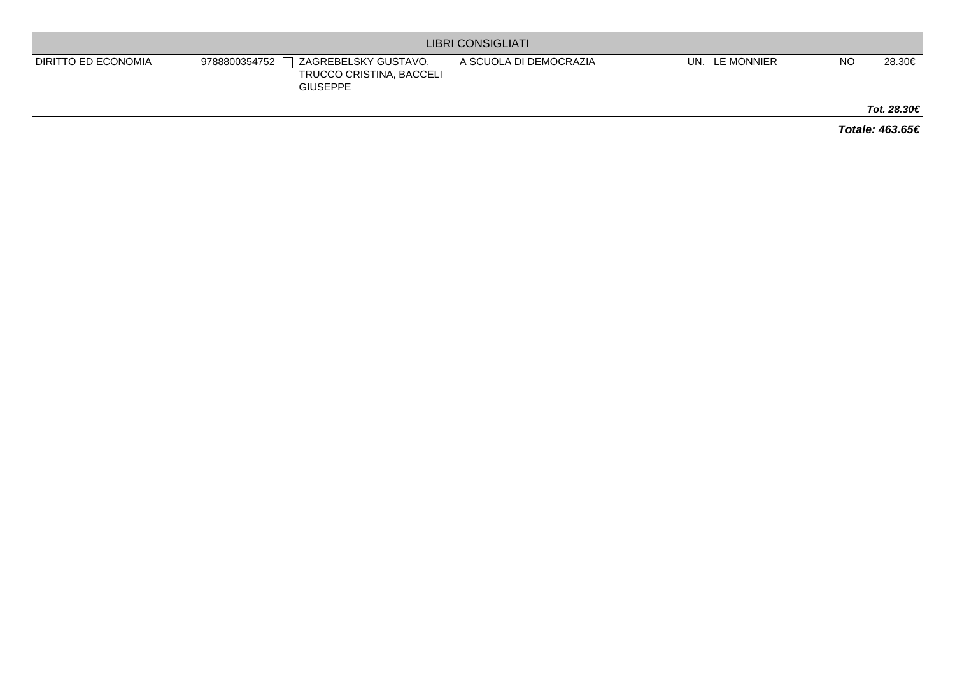| <b>LIBRI CONSIGLIATI</b> |                                                                                      |                        |                   |           |             |  |  |
|--------------------------|--------------------------------------------------------------------------------------|------------------------|-------------------|-----------|-------------|--|--|
| DIRITTO ED ECONOMIA      | ZAGREBELSKY GUSTAVO.<br>9788800354752<br>TRUCCO CRISTINA, BACCELI<br><b>GIUSEPPE</b> | A SCUOLA DI DEMOCRAZIA | LE MONNIER<br>UN. | <b>NO</b> | 28.30€      |  |  |
|                          |                                                                                      |                        |                   |           | Tot. 28.30€ |  |  |

**Totale: 463.65€**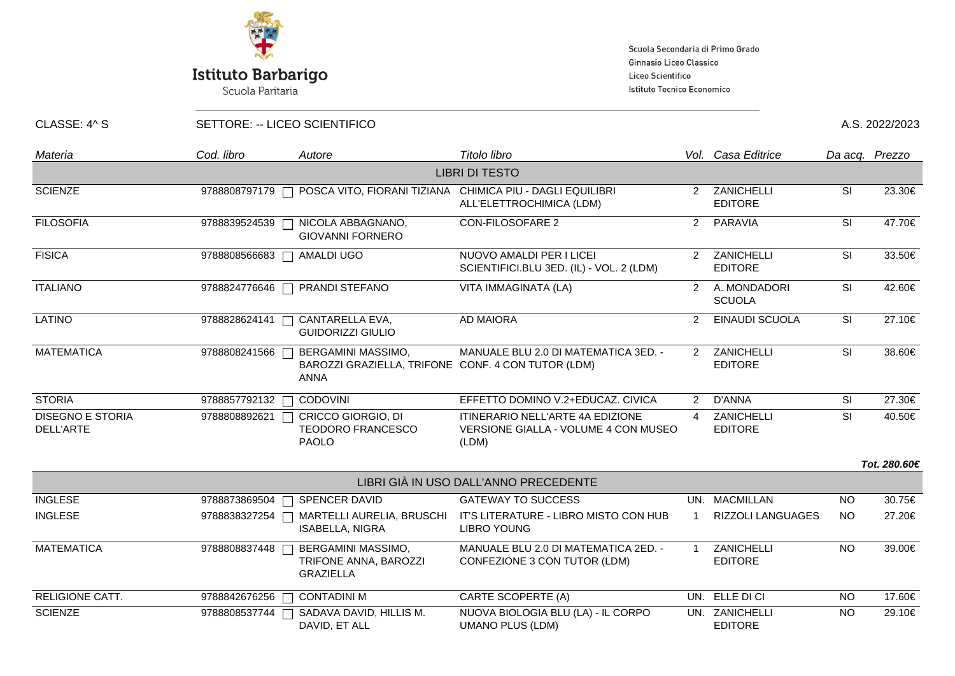

# **Istituto Barbarigo**<br>Scuola Paritaria

Scuola Secondaria di Primo Grado Ginnasio Liceo Classico Liceo Scientifico Istituto Tecnico Economico

CLASSE: 4^ S SETTORE: -- LICEO SCIENTIFICO A.S. 2022/2023

| Materia                              | Cod. libro              | Autore                                                                                  | Titolo libro                                                                      |                | Vol. Casa Editrice               |           | Da acq. Prezzo |
|--------------------------------------|-------------------------|-----------------------------------------------------------------------------------------|-----------------------------------------------------------------------------------|----------------|----------------------------------|-----------|----------------|
|                                      |                         |                                                                                         | <b>LIBRI DI TESTO</b>                                                             |                |                                  |           |                |
| <b>SCIENZE</b>                       |                         | 9788808797179   POSCA VITO, FIORANI TIZIANA CHIMICA PIU - DAGLI EQUILIBRI               | ALL'ELETTROCHIMICA (LDM)                                                          |                | 2 ZANICHELLI<br><b>EDITORE</b>   | SI        | 23.30€         |
| <b>FILOSOFIA</b>                     | 9788839524539           | NICOLA ABBAGNANO,<br><b>GIOVANNI FORNERO</b>                                            | CON-FILOSOFARE 2                                                                  | $2^{\circ}$    | PARAVIA                          | <b>SI</b> | 47.70€         |
| <b>FISICA</b>                        | 9788808566683           | AMALDI UGO                                                                              | NUOVO AMALDI PER I LICEI<br>SCIENTIFICI.BLU 3ED. (IL) - VOL. 2 (LDM)              |                | 2 ZANICHELLI<br><b>EDITORE</b>   | SI        | 33.50€         |
| <b>ITALIANO</b>                      | 9788824776646<br>$\Box$ | PRANDI STEFANO                                                                          | VITA IMMAGINATA (LA)                                                              | $\overline{2}$ | A. MONDADORI<br><b>SCUOLA</b>    | SI        | 42.60€         |
| <b>LATINO</b>                        | 9788828624141           | CANTARELLA EVA,<br><b>GUIDORIZZI GIULIO</b>                                             | <b>AD MAIORA</b>                                                                  | $\mathcal{P}$  | EINAUDI SCUOLA                   | SI        | 27.10€         |
| <b>MATEMATICA</b>                    | 9788808241566           | BERGAMINI MASSIMO,<br>BAROZZI GRAZIELLA, TRIFONE CONF. 4 CON TUTOR (LDM)<br><b>ANNA</b> | MANUALE BLU 2.0 DI MATEMATICA 3ED. -                                              | $\mathcal{P}$  | ZANICHELLI<br><b>EDITORE</b>     | SI        | 38.60€         |
| <b>STORIA</b>                        | 9788857792132           | <b>CODOVINI</b>                                                                         | EFFETTO DOMINO V.2+EDUCAZ. CIVICA                                                 | $\mathbf{2}$   | D'ANNA                           | SI        | 27.30€         |
| <b>DISEGNO E STORIA</b><br>DELL'ARTE | 9788808892621           | CRICCO GIORGIO, DI<br><b>TEODORO FRANCESCO</b><br><b>PAOLO</b>                          | ITINERARIO NELL'ARTE 4A EDIZIONE<br>VERSIONE GIALLA - VOLUME 4 CON MUSEO<br>(LDM) | $\overline{4}$ | ZANICHELLI<br><b>EDITORE</b>     | <b>SI</b> | 40.50€         |
|                                      |                         |                                                                                         |                                                                                   |                |                                  |           | Tot. 280.60€   |
|                                      |                         |                                                                                         | LIBRI GIÀ IN USO DALL'ANNO PRECEDENTE                                             |                |                                  |           |                |
| <b>INGLESE</b>                       | 9788873869504<br>$\Box$ | SPENCER DAVID                                                                           | <b>GATEWAY TO SUCCESS</b>                                                         |                | UN. MACMILLAN                    | <b>NO</b> | 30.75€         |
| <b>INGLESE</b>                       | 9788838327254           | MARTELLI AURELIA, BRUSCHI<br><b>ISABELLA, NIGRA</b>                                     | IT'S LITERATURE - LIBRO MISTO CON HUB<br><b>LIBRO YOUNG</b>                       |                | RIZZOLI LANGUAGES                | <b>NO</b> | 27.20€         |
| <b>MATEMATICA</b>                    | 9788808837448           | BERGAMINI MASSIMO,<br>TRIFONE ANNA, BAROZZI<br><b>GRAZIELLA</b>                         | MANUALE BLU 2.0 DI MATEMATICA 2ED. -<br>CONFEZIONE 3 CON TUTOR (LDM)              |                | ZANICHELLI<br><b>EDITORE</b>     | <b>NO</b> | 39.00€         |
| RELIGIONE CATT.                      | 9788842676256           | <b>CONTADINI M</b>                                                                      | CARTE SCOPERTE (A)                                                                |                | UN. ELLE DI CI                   | <b>NO</b> | 17.60€         |
| <b>SCIENZE</b>                       | 9788808537744           | SADAVA DAVID, HILLIS M.<br>DAVID, ET ALL                                                | NUOVA BIOLOGIA BLU (LA) - IL CORPO<br><b>UMANO PLUS (LDM)</b>                     |                | UN. ZANICHELLI<br><b>EDITORE</b> | <b>NO</b> | 29.10€         |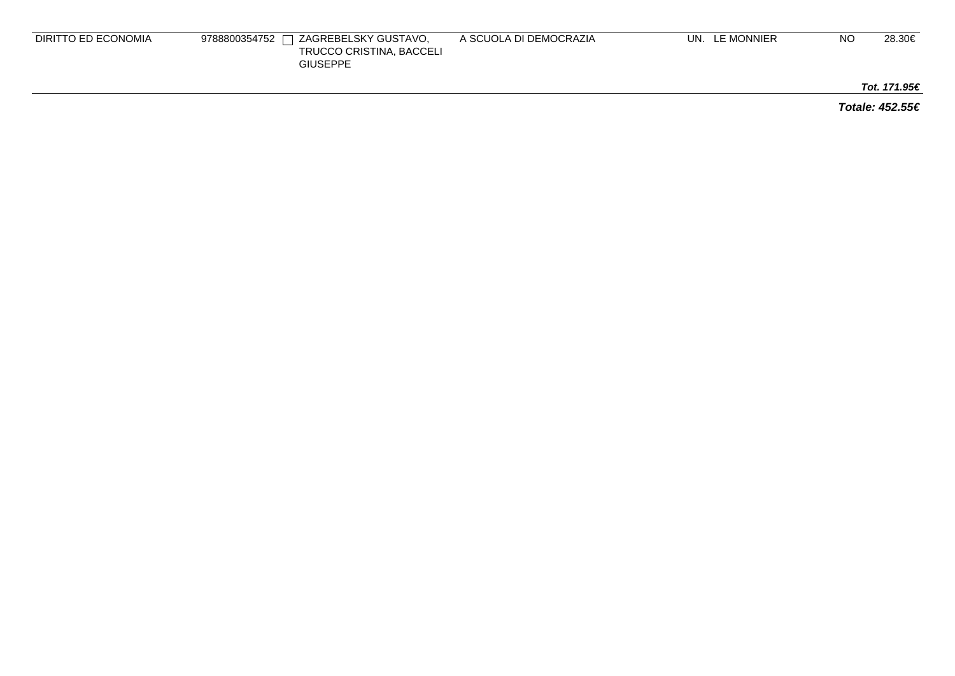| DIRITTO ED ECONOMIA | $\Box$ ZAGREBELSKY GUSTAVO,<br>9788800354752 $\Gamma$<br>TRUCCO CRISTINA, BACCELI<br><b>GIUSEPPE</b> | A SCUOLA DI DEMOCRAZIA | UN. LE MONNIER | NO | 28.30€ |
|---------------------|------------------------------------------------------------------------------------------------------|------------------------|----------------|----|--------|
|                     |                                                                                                      |                        |                |    |        |

**Tot. 171.95€**

**Totale: 452.55€**